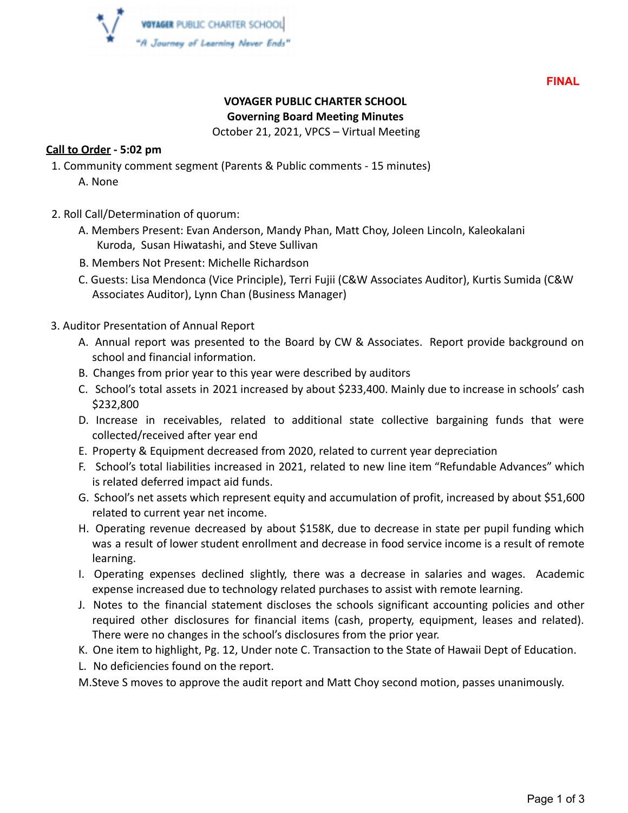

**FINAL**

## **VOYAGER PUBLIC CHARTER SCHOOL Governing Board Meeting Minutes**

October 21, 2021, VPCS – Virtual Meeting

# **Call to Order - 5:02 pm**

- 1. Community comment segment (Parents & Public comments 15 minutes)
	- A. None
- 2. Roll Call/Determination of quorum:
	- A. Members Present: Evan Anderson, Mandy Phan, Matt Choy, Joleen Lincoln, Kaleokalani Kuroda, Susan Hiwatashi, and Steve Sullivan
	- B. Members Not Present: Michelle Richardson
	- C. Guests: Lisa Mendonca (Vice Principle), Terri Fujii (C&W Associates Auditor), Kurtis Sumida (C&W Associates Auditor), Lynn Chan (Business Manager)
- 3. Auditor Presentation of Annual Report
	- A. Annual report was presented to the Board by CW & Associates. Report provide background on school and financial information.
	- B. Changes from prior year to this year were described by auditors
	- C. School's total assets in 2021 increased by about \$233,400. Mainly due to increase in schools' cash \$232,800
	- D. Increase in receivables, related to additional state collective bargaining funds that were collected/received after year end
	- E. Property & Equipment decreased from 2020, related to current year depreciation
	- F. School's total liabilities increased in 2021, related to new line item "Refundable Advances" which is related deferred impact aid funds.
	- G. School's net assets which represent equity and accumulation of profit, increased by about \$51,600 related to current year net income.
	- H. Operating revenue decreased by about \$158K, due to decrease in state per pupil funding which was a result of lower student enrollment and decrease in food service income is a result of remote learning.
	- I. Operating expenses declined slightly, there was a decrease in salaries and wages. Academic expense increased due to technology related purchases to assist with remote learning.
	- J. Notes to the financial statement discloses the schools significant accounting policies and other required other disclosures for financial items (cash, property, equipment, leases and related). There were no changes in the school's disclosures from the prior year.
	- K. One item to highlight, Pg. 12, Under note C. Transaction to the State of Hawaii Dept of Education.
	- L. No deficiencies found on the report.

M.Steve S moves to approve the audit report and Matt Choy second motion, passes unanimously.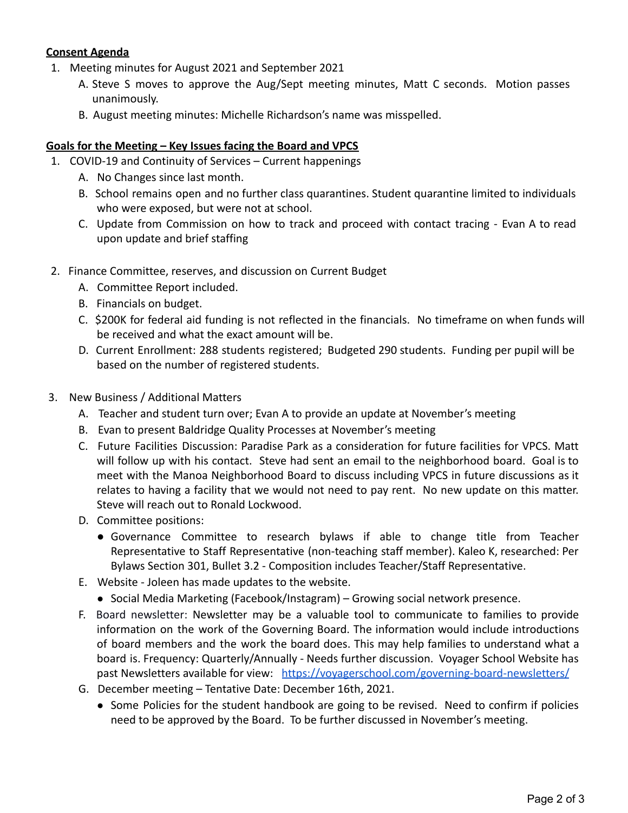# **Consent Agenda**

- 1. Meeting minutes for August 2021 and September 2021
	- A. Steve S moves to approve the Aug/Sept meeting minutes, Matt C seconds. Motion passes unanimously.
	- B. August meeting minutes: Michelle Richardson's name was misspelled.

## **Goals for the Meeting – Key Issues facing the Board and VPCS**

- 1. COVID-19 and Continuity of Services Current happenings
	- A. No Changes since last month.
	- B. School remains open and no further class quarantines. Student quarantine limited to individuals who were exposed, but were not at school.
	- C. Update from Commission on how to track and proceed with contact tracing Evan A to read upon update and brief staffing
- 2. Finance Committee, reserves, and discussion on Current Budget
	- A. Committee Report included.
	- B. Financials on budget.
	- C. \$200K for federal aid funding is not reflected in the financials. No timeframe on when funds will be received and what the exact amount will be.
	- D. Current Enrollment: 288 students registered; Budgeted 290 students. Funding per pupil will be based on the number of registered students.
- 3. New Business / Additional Matters
	- A. Teacher and student turn over; Evan A to provide an update at November's meeting
	- B. Evan to present Baldridge Quality Processes at November's meeting
	- C. Future Facilities Discussion: Paradise Park as a consideration for future facilities for VPCS. Matt will follow up with his contact. Steve had sent an email to the neighborhood board. Goal is to meet with the Manoa Neighborhood Board to discuss including VPCS in future discussions as it relates to having a facility that we would not need to pay rent. No new update on this matter. Steve will reach out to Ronald Lockwood.
	- D. Committee positions:
		- Governance Committee to research bylaws if able to change title from Teacher Representative to Staff Representative (non-teaching staff member). Kaleo K, researched: Per Bylaws Section 301, Bullet 3.2 - Composition includes Teacher/Staff Representative.
	- E. Website Joleen has made updates to the website.
		- Social Media Marketing (Facebook/Instagram) Growing social network presence.
	- F. Board newsletter: Newsletter may be a valuable tool to communicate to families to provide information on the work of the Governing Board. The information would include introductions of board members and the work the board does. This may help families to understand what a board is. Frequency: Quarterly/Annually - Needs further discussion. Voyager School Website has past Newsletters available for view: <https://voyagerschool.com/governing-board-newsletters/>
	- G. December meeting Tentative Date: December 16th, 2021.
		- Some Policies for the student handbook are going to be revised. Need to confirm if policies need to be approved by the Board. To be further discussed in November's meeting.